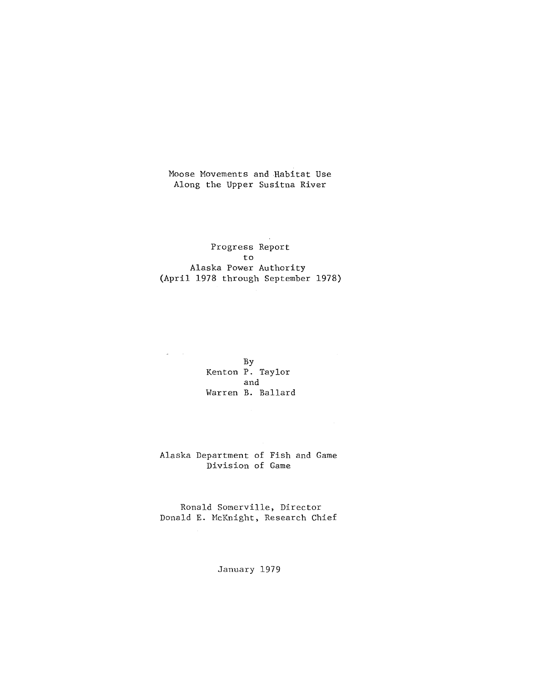## Moose Movements and Habitat Use Along the Upper Susitna River

# Progress Report to Alaska Power Authority (April 1978 through September 1978)

By Kenton P. Taylor and Warren B. Ballard

 $\Delta \sim 100$ 

Alaska Department of Fish and Game Division of Game

Ronald Somerville, Director Donald E. HcKnight, Research Chief

January 1979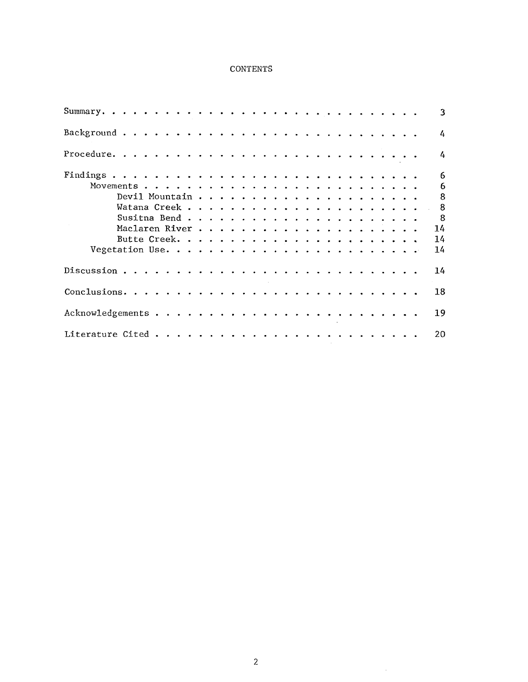# **CONTENTS**

|  |  |  |  |  |  |  |  |  |  |  |  |  |  |  | 3              |
|--|--|--|--|--|--|--|--|--|--|--|--|--|--|--|----------------|
|  |  |  |  |  |  |  |  |  |  |  |  |  |  |  | $\overline{4}$ |
|  |  |  |  |  |  |  |  |  |  |  |  |  |  |  | $\mathbf{4}$   |
|  |  |  |  |  |  |  |  |  |  |  |  |  |  |  | 6              |
|  |  |  |  |  |  |  |  |  |  |  |  |  |  |  | 6              |
|  |  |  |  |  |  |  |  |  |  |  |  |  |  |  | 8              |
|  |  |  |  |  |  |  |  |  |  |  |  |  |  |  | 8              |
|  |  |  |  |  |  |  |  |  |  |  |  |  |  |  | 8              |
|  |  |  |  |  |  |  |  |  |  |  |  |  |  |  | 14             |
|  |  |  |  |  |  |  |  |  |  |  |  |  |  |  | 14             |
|  |  |  |  |  |  |  |  |  |  |  |  |  |  |  | 14             |
|  |  |  |  |  |  |  |  |  |  |  |  |  |  |  | 14             |
|  |  |  |  |  |  |  |  |  |  |  |  |  |  |  | 18.            |
|  |  |  |  |  |  |  |  |  |  |  |  |  |  |  | 19             |
|  |  |  |  |  |  |  |  |  |  |  |  |  |  |  | 20.            |

 $\sim$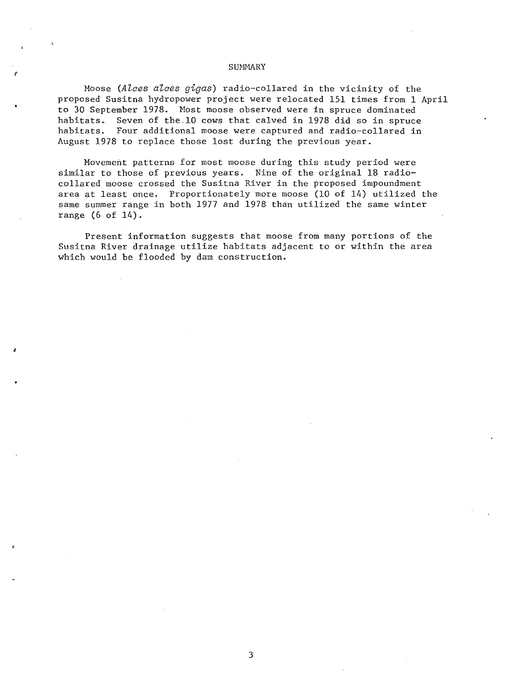## SUMMARY

Moose *(Alces alces gigas)* radio-collared in the vicinity of the proposed Susitna hydropower project were relocated 151 times from 1 April to 30 September 1978. Most moose observed were in spruce dominated habitats.. Seven of the.lO cows that calved in 1978 did so in spruce habitats. Four additional moose were captured and radio-collared in August 1978 to replace those lost during the previous year.

Movement patterns for most moose during this study period were similar to those of previous years. Nine of the original 18 radiocollared moose crossed the Susitna River in the proposed impoundment area at least once. Proportionately more moose (10 of 14) utilized the same summer range in both 1977 and 1978 than utilized the same winter range (6 of 14).

Present information suggests that moose from many portions of the Susitna River drainage utilize habitats adjacent to or within the area which would be flooded by dam construction.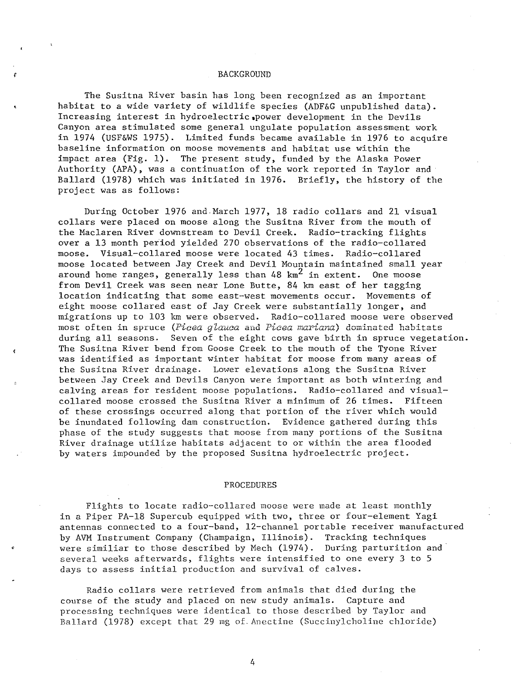## BACKGROUND

The Susitna River basin has long been recognized as an important habitat to a wide variety of wildlife species (ADF&G unpublished data). Increasing interest in hydroelectric.power development in the Devils Canyon area stimulated some general ungulate population assessment work in 1974 (USF&WS 1975). Limited funds became available in 1976 to acquire baseline information on moose movements and habitat use within the impact area (Fig. 1). The present study, funded by the Alaska Power Authority (APA), was a continuation of the work reported in Taylor and· Ballard (1978) which was initiated in 1976. Briefly, the history of the project was as follows:

During October 1976 and.March 1977, 18 radio collars and 21 visual collars were placed on moose along the Susitna River from the mouth of the Maclaren River downstream to Devil Creek. Radio-tracking flights over a 13 month period yielded 270 observations of the radio-collared moose. Visual-collared moose were located 43 times. Radio-collared moose located between Jay Creek and Devil Mountain maintained small year around home ranges, generally less than  $48 \text{ km}^2$  in extent. One moose from Devil Creek was seen near Lone Butte, 84 km east of her tagging location indicating that some east-west movements occur. Movements of eight moose collared east of Jay Creek were substantially longer, and migrations up to 103 km were observed. Radio-collared moose were observed most often in spruce (Picea *glauca* and Picea mariana) dominated habitats during all seasons. Seven of the eight cows gave birth in spruce vegetation. The Susitna River bend from Goose Creek to the mouth of the Tyone River was identified as important winter habitat for moose from many areas of the Susitna River drainage. Lower elevations along the Susitna River between Jay Creek and Devils Canyon were important as both wintering and calving areas for resident moose populations. Radio-collared and visualcollared moose crossed the Susitna River a minimum of 26 times. Fifteen of these crossings occurred along that portion of the river which would be inundated following dam construction. Evidence gathered during this phase of the study suggests that moose from many portions of the Susitna River drainage utilize habitats adjacent to or within the area flooded by waters impounded by the proposed Susitna hydroelectric project.

## PROCEDURES

Flights to locate radio-collared moose were made at least monthly in a Piper PA-18 Supercub equipped with two, three or four-element Yagi antennas connected to a four-band, 12-channel portable receiver manufactured by AVM Instrument Company (Champaign, Illinois). Tracking techniques were similiar to those described by Mech (1974). During parturition and several weeks afterwards, flights were intensified to one every 3 to 5 days to assess initial production and survival of calves.

Radio collars were retrieved from animals that died during the course of the study and placed on new study animals. Capture and processing techniques were identical to those described by Taylor and Ballard (1978) except that 29 mg of. Anectine (Succinylcholine chloride)

4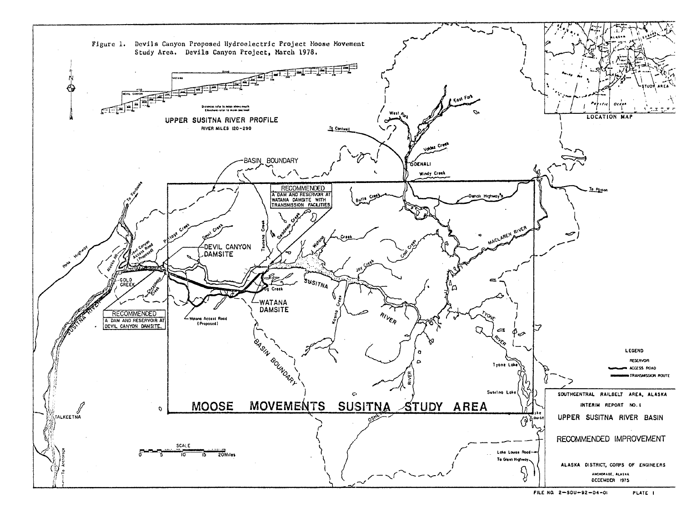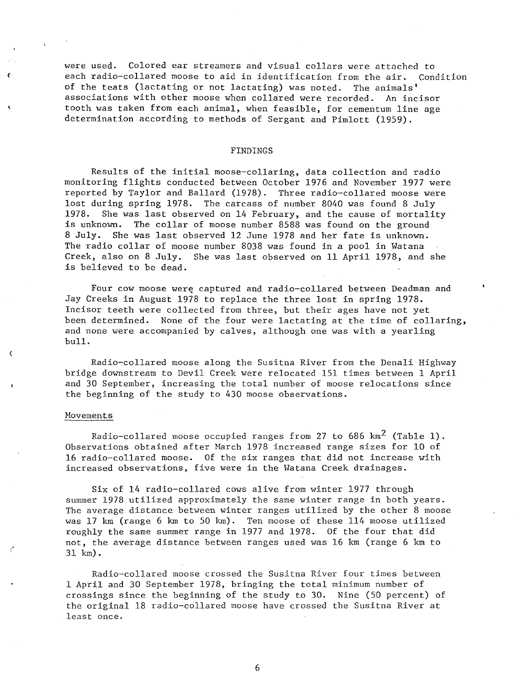were used. Colored ear streamers and visual collars were attached to each radio-collared moose to aid in identification from the air. Condition of the teats (lactating or not lactating) was noted. The animals' associations with other moose when collared were recorded. An incisor tooth was taken from each animal, when feasible, for cementum line age determination according to methods of Sergant and Pimlott (1959).

## FINDINGS

Results of the initial moose-collaring, data collection and radio monitoring flights conducted between October 1976 and November 1977 were reported by Taylor and Ballard (1978). Three radio-collared moose were lost during spring 1978. The carcass of number 8040 was found 8 July 1978. She was last observed on 14 February, and the cause of mortality is unknown. The collar of moose number 8588 was found on the ground 8 July. She was last observed 12 June 1978 and her fate is unknown. The radio collar of moose number 8038 was found in a pool in Watana Creek, also on 8 July. She was last observed on 11 April 1978, and she is believed to be dead.

Four cow moose were captured and radio-collared between Deadman and Jay Creeks in August 1978 to replace the three lost in spring 1978. Incisor teeth were collected from three, but their ages have not yet been determined. None of the four were lactating at the time of collaring, and none were accompanied by calves, although one was with a yearling bull.

Radio-collared moose along the Susitna River from the Denali Highway bridge downstream to Devil Creek were relocated 151 times between 1 April and 30 September, increasing the total number of moose relocations since the beginning of the study to 430 moose observations.

### Hovements

Radio-collared moose occupied ranges from 27 to 686  $km^2$  (Table 1). Observations obtained after Harch 1978 increased range sizes for 10 of 16 radio-collared moose. Of the six ranges that did not increase with increased observations, five were in the Hatana Creek drainages.

Six of 14 radio-collared cows alive from winter 1977 through summer 1978 utilized approximately the same winter range in both years. The average distance between winter ranges utilized by the other 8 moose was 17 km (range 6 km to 50 km). Ten moose of these 114 moose utilized roughly the same summer range in 1977 and 1978. Of the four that did not, the average distance between ranges used was 16 km (range 6 km to 31 km).

Radio-collared moose crossed the Susitna River four times between 1 April and 30 September 1978, bringing the total minimum number of crossings since the beginning of the study to 30. Nine (50 percent) of the original 18 radio-collared moose have crossed the Susitna River at least once.

6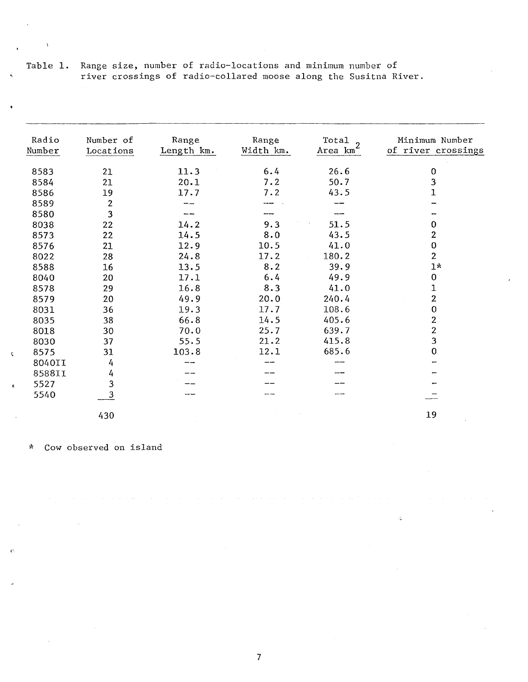$\vec{q}$ 

 $\ddot{\phantom{0}}$ 

 $\bar{V}$ 

Table 1. Range size, number of radio-locations and minimum number of river crossings of radio-collared moose along the Susitna River.

| Radio<br>Number | Number of<br>Locations  | Range<br>Length km. | Range<br>Width km. | Total <sub>2</sub><br>Area km <sup>4</sup> | Minimum Number<br>of river crossings |
|-----------------|-------------------------|---------------------|--------------------|--------------------------------------------|--------------------------------------|
| 8583            | 21                      | 11.3                | 6.4                | 26.6                                       | $\pmb{0}$                            |
| 8584            | 21                      | 20.1                | 7.2                | 50.7                                       | 3                                    |
| 8586            | 19                      | 17.7                | 7.2                | 43.5                                       | 1                                    |
| 8589            | $\sqrt{2}$              |                     |                    |                                            |                                      |
| 8580            | $\overline{\mathbf{3}}$ |                     |                    |                                            |                                      |
| 8038            | 22                      | 14.2                | 9.3                | 51.5                                       | $\bf{0}$                             |
| 8573            | 22                      | 14.5                | 8.0                | 43.5                                       | $\mathbf{2}$                         |
| 8576            | 21                      | 12.9                | 10.5               | 41.0                                       | $\pmb{0}$                            |
| 8022            | 28                      | 24.8                | 17.2               | 180.2                                      | $\overline{2}$                       |
| 8588            | 16                      | 13.5                | 8.2                | 39.9                                       | $1*$                                 |
| 8040            | 20                      | 17.1                | 6.4                | 49.9                                       | $\pmb{0}$                            |
| 8578            | 29                      | 16.8                | 8.3                | 41.0                                       | $\mathbf 1$                          |
| 8579            | 20                      | 49.9                | 20.0               | 240.4                                      | $\mathbf{2}$                         |
| 8031            | 36                      | 19.3                | 17.7               | 108.6                                      | $\mathbf 0$                          |
| 8035            | 38                      | 66.8                | 14.5               | 405.6                                      | $\mathbf{2}$                         |
| 8018            | 30                      | 70.0                | 25.7               | 639.7                                      | $\overline{c}$                       |
| 8030            | 37                      | 55.5                | 21.2               | 415.8                                      | 3                                    |
| 8575            | 31                      | 103.8               | 12.1               | 685.6                                      | $\mathbf 0$                          |
| 8040II          | 4                       |                     |                    |                                            |                                      |
| 8588II          | 4                       |                     |                    |                                            |                                      |
| 5527            | $\overline{\mathbf{3}}$ |                     |                    |                                            |                                      |
| 5540            | $\overline{3}$          |                     |                    |                                            |                                      |
|                 | 430                     |                     |                    |                                            | 19                                   |

\* Cow observed on island

~

¢.

 $\bar{\mathbf{v}}$ 

7

 $\ddot{\phi}$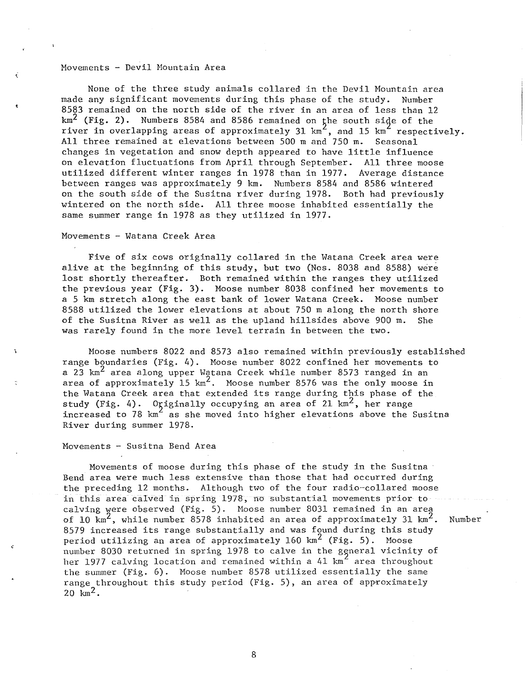## Movements - Devil Mountain Area

None of the three study animals collared in the Devil Hountain area made any significant movements during this phase of the study. Number 8583 remained on the north side of the river in an area of less than 12  $km<sup>2</sup>$  (Fig. 2). Numbers 8584 and 8586 remained on the south side of the river in overlapping areas of approximately 31  $km^2$ , and 15  $km^2$  respectively. All three remained at elevations between 500 m and 750 m. Seasonal changes in vegetation and snow depth appeared to have little influence on elevation fluctuations from April through September. All three moose utilized different winter ranges in 1978 than in 1977. Average distance between ranges was approximately 9 km. Numbers 8584 and 8586 wintered on the south side of the Susitna river during 1978. Both had previously wintered on the north side. All three moose inhabited essentially the same summer range in 1978 as they utilized in 1977.

## Hovements - Watana Creek Area

Five of six cows originally collared in the Watana Creek area were alive at the beginning of this study, but two (Nos. 8038 and 8588) were lost shortly thereafter. Both remained within the ranges they utilized the previous year (Fig. 3). Hoose number 8038 confined her movements to a 5 km stretch along the east bank of lower Watana Creek. Moose number 8588 utilized the lower elevations at about 750 m along the north shore of the Susitna River as well as the upland hillsides above 900 m. She was rarely found in the more level terrain in between the two.

Moose numbers 8022 and 8573 also remained within previously established range boundaries (Fig. 4). Moose number 8022 confined her movements to a 23  $km^2$  area along upper Watana Creek while number 8573 ranged in an area of approximately 15  $km^2$ . Moose number 8576 was the only moose in the Watana Creek area that extended its range during this phase of the study (Fig. 4). Originally occupying an area of 21  $km^2$ , her range increased to 78  $km^2$  as she moved into higher elevations above the Susitna River during summer 1978.

#### Movements - Susitna Bend Area

Movements of moose during this phase of the study in the Susitna Bend area were much less extensive than those that had occurred during the preceding 12 months. Although two of the four radio-collared moose in this area calved in spring 1978, no substantial movements prior to calving were observed (Fig. 5). Moose number 8031 remained in an area of 10  $km^2$ , while number 8578 inhabited an area of approximately 31  $km^2$ . Number 8579 increased its range substantially and was found during this study period utilizing an area of approximately 160  $km^2$  (Fig. 5). Moose number 8030 returned in spring 1978 to calve in the general vicinity of her 1977 calving location and remained within a  $41 \text{ km}^2$  area throughout the summer (Fig. 6). Moose number 8578 utilized essentially the same range throughout this study period (Fig. 5), an area of approximately  $20 \text{ km}^2$ .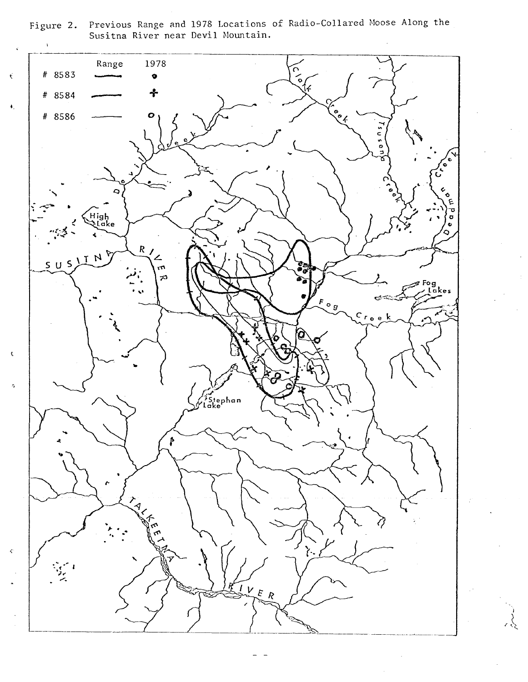Previous Range and 1978 Locations of Radio-Collared Moose Along the Susitna River near Devil Mountain. Figure 2.

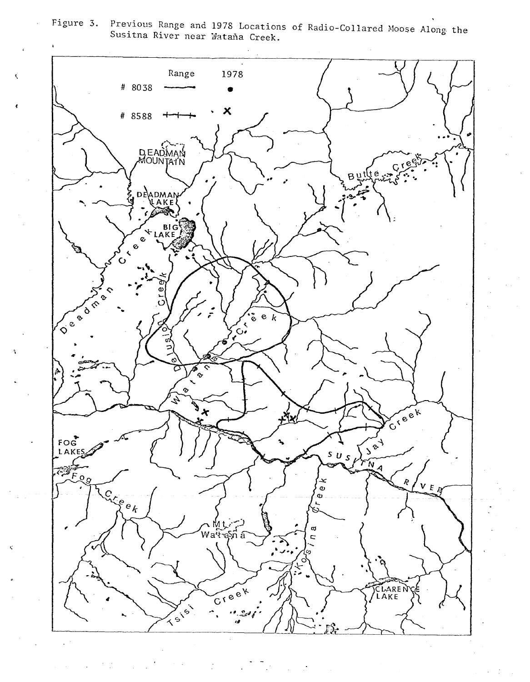Figure 3. Previous Range and 1978 Locations of Radio-Collared Moose Along the<br>Susitna River near Matana Creek.

 $\mathcal{L}$ 

 $\epsilon$ 

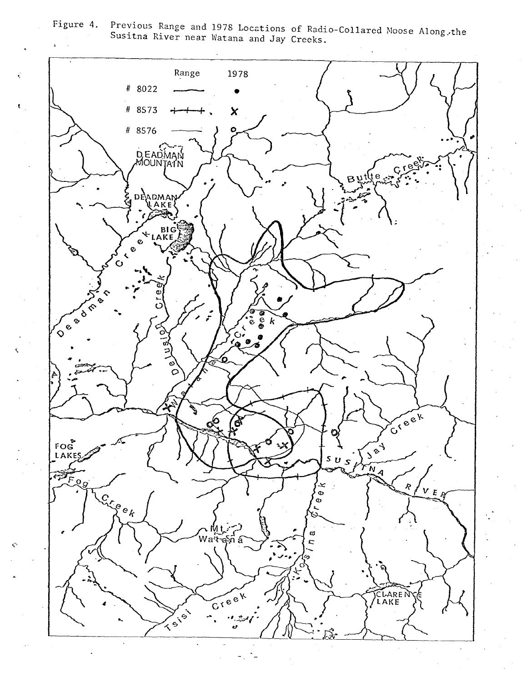

€

 $\mathbf{t}$ 

Figure 4. Previous Range and 1978 Locations of Radio-Collared Moose Along.the<br>Susitna River near Watana and Jay Creeks.

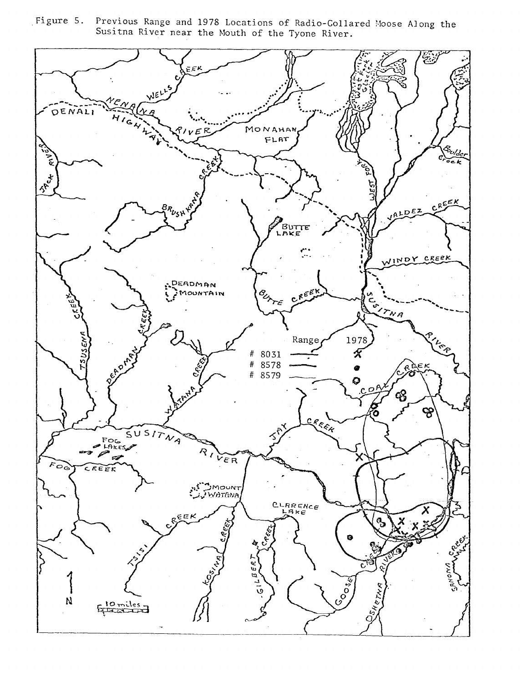Previous Range and 1978 Locations of Radio-Collared Moose Along the Figure 5. Susitna River near the Mouth of the Tyone River.

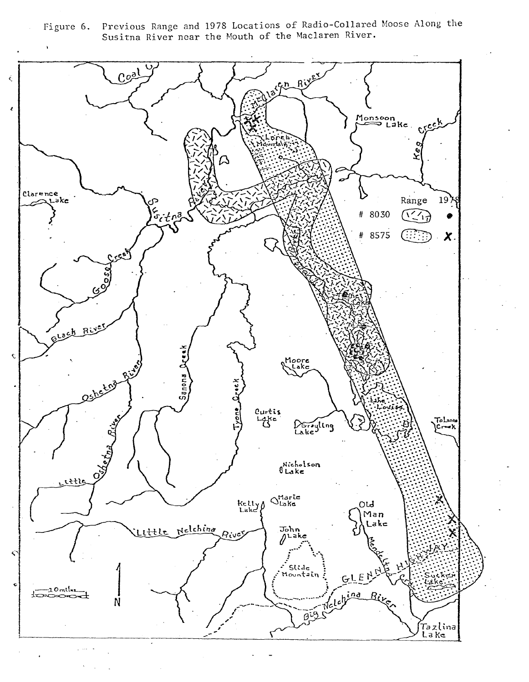Previous Range and 1978 Locations of Radio-Collared Moose Along the<br>Susitna River near the Mouth of the Maclaren River. Figure 6.

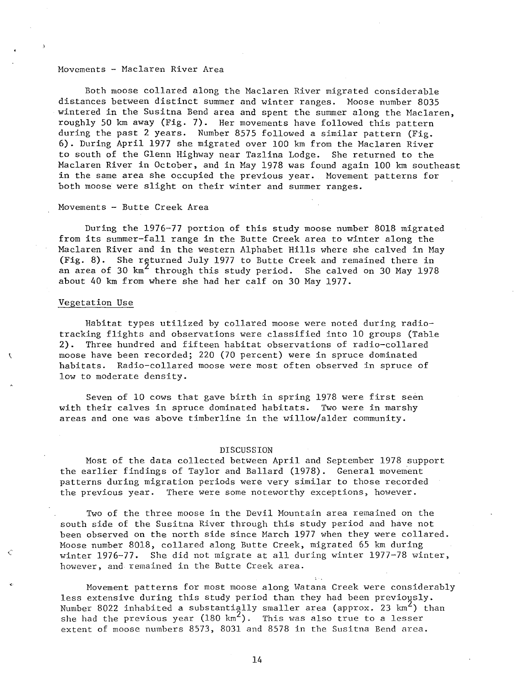### Movements - Maclaren River Area

Both moose collared along the Maclaren River migrated considerable distances between distinct summer and winter ranges. Moose number 8035 wintered in the Susitna Bend area and spent the summer along the Maclaren, roughly 50 km away (Fig. 7). Her movements have followed this pattern during the past 2 years. Number 8575 followed a similar pattern (Fig. 6). During April 1977 she migrated over 100 km from the Maclaren River to south of the Glenn Highway near Tazlina Lodge. She returned to the Maclaren River in October, and in May 1978 was found again 100 km southeast in the same area she occupied the previous year. Movement patterns for both moose were slight on their winter and summer ranges.

## Movements - Butte Creek Area

During the 1976-77 portion of this study moose number 8018 migrated from its summer-fall range in the Butte Creek area to winter along the Maclaren River and in the western Alphabet Hills where she calved in Hay (Fig. 8). She rgturned July 1977 to Butte Creek and remained there in an area of 30  $km^2$  through this study period. She calved on 30 May 1978 about 40 km from where she had her calf on 30 May 1977.

## Vegetation Use

 $\mathcal{L}$ 

Habitat types utilized by collared moose were noted during radiotracking flights and observations were classified into 10 groups (Table 2). Three hundred and fifteen habitat observations of radio-collared moose have been recorded; 220 (70 percent) were in spruce dominated habitats. Radio-collared moose were most often observed in spruce of low to moderate density.

Seven of 10 cows that gave birth in spring 1978 were first seen with their calves in spruce dominated habitats. Two were in marshy areas and one was above timberline in the willow/alder community.

#### DISCUSSION

Most of the data collected between April and September 1978 support the earlier findings of Taylor and Ballard (1978). General movement patterns during migration periods were very similar to those recorded the previous year. There were some noteworthy exceptions, however.

Two of the three moose in the Devil Mountain area remained on the south side of the Susitna River through this study period and have not been observed on the north side since March 1977 when they were collared. Moose number 8018, collared along Butte Creek, migrated 65 km during winter 1976-77. She did not migrate at all during winter 1977-78 winter, however, and remained in the Butte Creek area.

Movement patterns for most moose along Watana Creek were considerably less extensive during this study period than they had been previously. Number 8022 inhabited a substantially smaller area (approx. 23  $km^2$ ) than she had the previous year (180 km<sup>2</sup>). This was also true to a lesser extent of moose numbers 8573, 8031 and 8578 in the Susitna Bend area.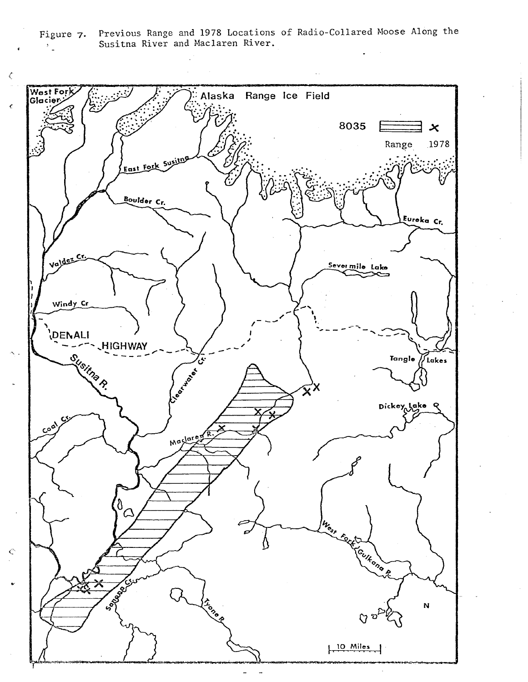Figure 7. Previous Range and 1978 Locations of Radio-Collared Moose Along the Susitna River and Maclaren River.  $\mathcal{F}_{\mathcal{F}}$ 

 $\zeta$ 

 $\pmb{\epsilon}$ 

 $\zeta$ 

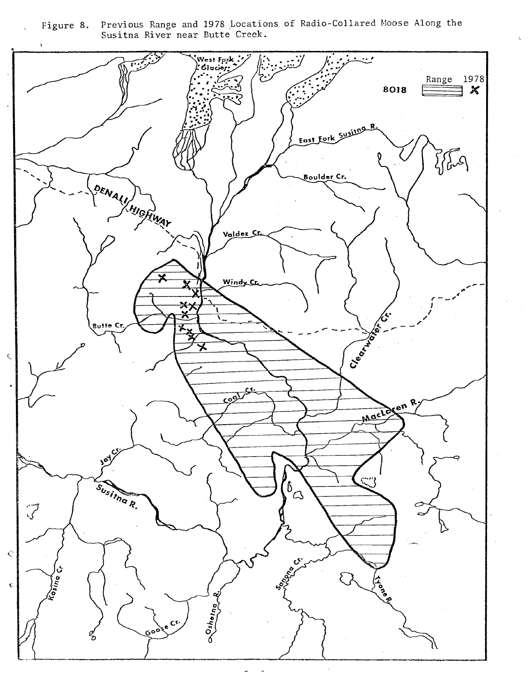Previous Range and 1978 Locations of Radio-Collared Moose Along the Susitna River near Butte Creek. Figure 8.

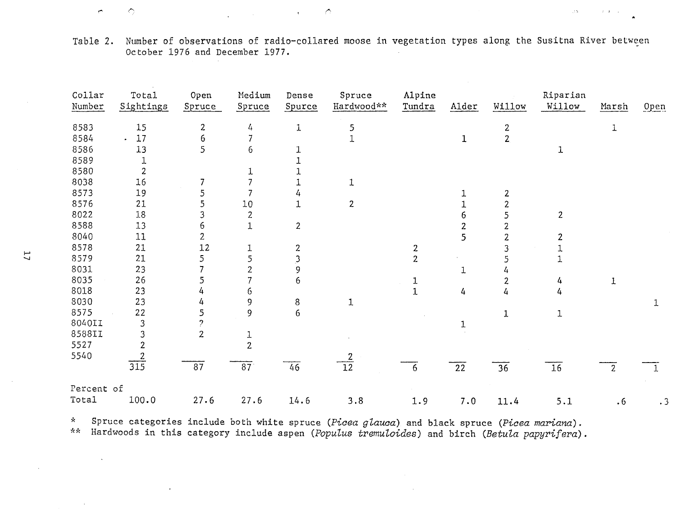| Collar     | Total            | Open             | Medium           | Dense                   | Spruce         | Alpine         |                 |                         | Riparian        |              |           |
|------------|------------------|------------------|------------------|-------------------------|----------------|----------------|-----------------|-------------------------|-----------------|--------------|-----------|
| Number     | Sightings        | Spruce           | Spruce           | Spurce                  | Hardwood**     | Tundra         | Alder           | Willow                  | Willow          | Marsh        | Open      |
| 8583       | 15               | $\mathbf{2}$     | 4                | $\mathbf 1$             | 5              |                |                 |                         |                 | 1            |           |
| 8584       | 17<br>$\bullet$  | $\boldsymbol{6}$ | 7                |                         |                |                | 1               | $\frac{2}{2}$           |                 |              |           |
| 8586       | 13               | 5                | $\boldsymbol{6}$ | $\mathbf 1$             |                |                |                 |                         | 1               |              |           |
| 8589       |                  |                  |                  |                         |                |                |                 |                         |                 |              |           |
| 8580       | $\boldsymbol{2}$ |                  | 1                |                         |                |                |                 |                         |                 |              |           |
| 8038       | 16               | $\overline{7}$   | 7                |                         | 1              |                |                 |                         |                 |              |           |
| 8573       | 19               | 5                |                  | 4                       |                |                |                 | $\mathbf{2}$            |                 |              |           |
| 8576       | 21               | 5                | $10\,$           | $\mathbf{1}$            | $\overline{2}$ |                |                 | $\overline{\mathbf{c}}$ |                 |              |           |
| 8022       | 18               | 3                | $\overline{c}$   |                         |                |                | 6               |                         | $\overline{c}$  |              |           |
| 8588       | 13               | 6                | $\mathbf 1$      | $\boldsymbol{2}$        |                |                | $\overline{c}$  |                         |                 |              |           |
| 8040       | 11               | $\overline{c}$   |                  |                         |                |                | 5               |                         | 2               |              |           |
| 8578       | 21               | 12               |                  | $\overline{\mathbf{c}}$ |                | $\mathbf{2}$   |                 |                         |                 |              |           |
| 8579       | 21               | 5                | 5                | $\mathfrak{Z}$          |                | $\overline{2}$ |                 |                         |                 |              |           |
| 8031       | 23               |                  | 2                | 9                       |                |                | 1               |                         |                 |              |           |
| 8035       | 26               | 5                |                  | 6                       |                | 1              |                 | 2                       | 4               |              |           |
| 8018       | 23               | 4                | 6                |                         |                |                | 4               | 4                       | 4               |              |           |
| 8030       | 23               | 4                | 9                | $\, 8$                  | 1              |                |                 |                         |                 |              |           |
| 8575       | 22               | 5                | 9                | $\epsilon$              |                |                |                 | 1                       | 1               |              |           |
| 8040II     | 3                | 2                |                  |                         |                |                | 1               |                         |                 |              |           |
| 8588II     | 3                | $\overline{c}$   | $\mathbf{1}$     |                         |                |                |                 |                         |                 |              |           |
| 5527       | $\overline{2}$   |                  | $\overline{c}$   |                         |                |                |                 |                         |                 |              |           |
| 5540       | $\boldsymbol{2}$ |                  |                  |                         |                |                |                 |                         |                 |              |           |
|            | 315              | $\overline{87}$  | $\overline{87}$  | 46                      | $\frac{2}{12}$ | - 6            | $\overline{22}$ | $\overline{36}$         | $\overline{16}$ | <sup>2</sup> |           |
| Percent of |                  |                  |                  |                         |                |                |                 |                         |                 |              |           |
| Total      | 100.0            | 27.6             | 27.6             | 14.6                    | 3.8            | 1.9            | 7.0             | 11.4                    | 5.1             | $\cdot 6$    | $\cdot$ 3 |

Table 2. Number of observations of radio-collared moose in vegetation types along the Susitna River between October 1976 and December 1977.

 $\mathcal{A}\mathbf{Y}$  , and  $\mathcal{A}=\mathcal{A}$  ,  $\mathcal{A}=\mathcal{A}$ 

 $\mathcal{L}_{\mathcal{A}}$  and  $\mathcal{L}_{\mathcal{A}}$  and  $\mathcal{L}_{\mathcal{A}}$  and  $\mathcal{L}_{\mathcal{A}}$  and  $\mathcal{L}_{\mathcal{A}}$ 

 $\hat{\mathcal{C}}$ 

 $\cdot$ 

 $\mathbf{r}$ 

*'f(* Spruce categories include both white spruce *(Pioea glauoa)* and black spruce *(Pioea mariana). 'I<"''{* Hardwoods in this category include aspen *(Populus tremuloides)* and birch *(Betula papyrifera).*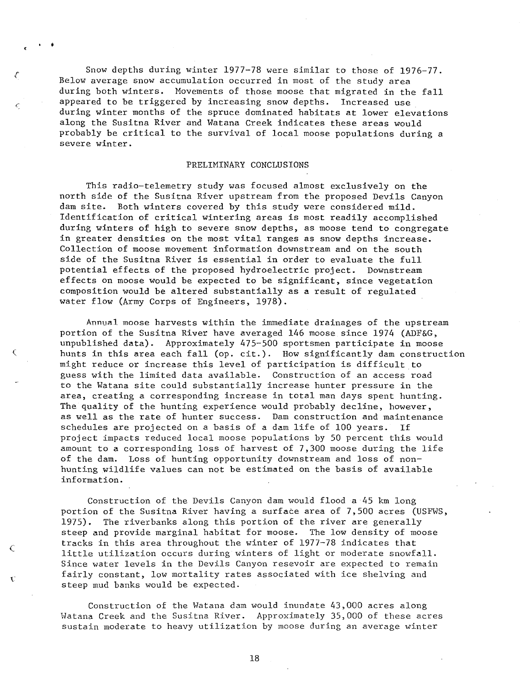Snow depths during winter  $1977-78$  were similar to those of 1976-77. Below average snow accumulation occurred in most of the study area during both winters. Movements of those moose that migrated in the fall appeared to be triggered by increasing snow depths. Increased use during winter months of the spruce dominated habitats at lower elevations along the Susitna River and Watana Creek indicates these areas would probably be critical to the survival of local moose populations during a severe winter.

## PRELIMINARY CONCLUSIONS

This radio-telemetry study was focused almost exclusively on the north side of the Susitna River upstream from the proposed Devils Canyon dam site. Both winters covered by this study were considered mild. Identification of critical wintering areas is most readily accomplished during winters of high to severe snow depths, as moose tend to congregate in greater densities on the most vital ranges as snow depths increase. Collection of moose movement information downstream and on the south side of the Susitna River is essential in order to evaluate the full potential effects. of the proposed hydroelectric project. Downstream effects on moose would be expected to be significant, since vegetation composition would be altered substantially as a result of regulated water flow (Army Corps of Engineers, 1978).

Annual moose harvests within the immediate drainages of the upstream portion of the Susitna River have averaged 146 moose since 1974 (ADF&G, unpublished data). Approximately 475-500 sportsmen participate in moose hunts in this area each fall (op. cit.). How significantly dam construction might reduce or increase this level of participation is difficult to guess with the limited data available. Construction of an access road to the Watana site could substantially increase hunter pressure in the area, creating a corresponding increase in total man days spent hunting. The quality of the hunting experience would probably decline, however, as well as the rate of hunter success. Dam construction and maintenance schedules are projected on a basis of a dam life of 100 years. If project impacts reduced local moose populations by 50 percent this would amount to a corresponding loss of harvest of 7,300 moose during the life of the dam. Loss of hunting opportunity downstream and loss of nonhunting wildlife values can not be estimated on the basis of available information.

 $\hat{\zeta}$ 

 $\mathbf{C}$ 

Construction of the Devils Canyon dam would flood a·45 km long portion of the Susitna River having a surface area of 7,500 acres (USFWS, 1975). The riverbanks along this portion of the river are generally steep and provide marginal habitat for moose. The low density of moose tracks in this area throughout the winter of 1977-78 indicates that little utilization occurs during winters of light or moderate snowfall. Since water levels in the Devils Canyon resevoir are expected to remain fairly constant, low mortality rates associated with ice shelving and steep mud banks would be expected.

Construction of the Watana dam would inundate 43,000 acres along Watana Creek and the Susitna River. Approximately 35,000 of these acres sustain moderate to heavy utilization by moose during an average winter

18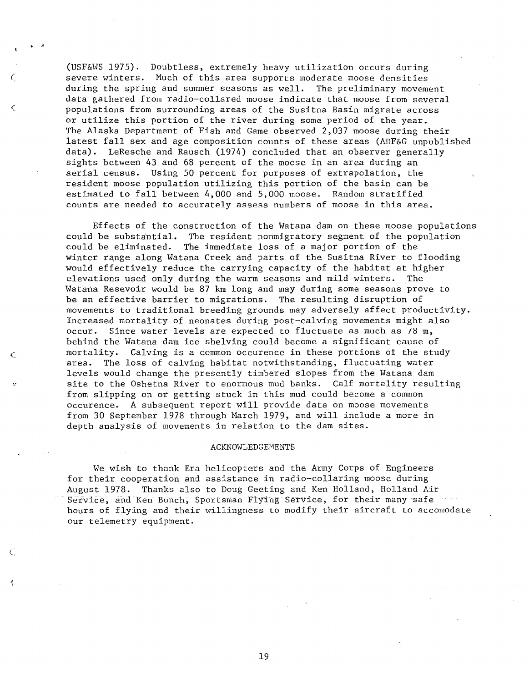(USF&HS 1975). Doubtless, extremely heavy utilization occurs during severe winters. Much of this area supports moderate moose densities during the spring and summer seasons as well. The preliminary movement data gathered from radio-collared moose indicate that moose from several populations from surrounding areas of the Susitna Basin migrate across or utilize this portion of the river during some period of the year. The Alaska Department of Fish and Game observed 2,037 moose during their latest fall sex and age composition counts of these areas (ADF&G unpublished data). LeResche and Rausch (1974) concluded that an observer generally sights between 43 and 68 percent of the moose in an area during an aerial census. Using 50 percent for purposes of extrapolation, the resident moose population utilizing this portion of the basin can be estimated to fall between 4,000 and 5,000 moose. Random stratified counts are needed to accurately assess numbers of moose in this area.

(

ť,

Effects of the construction of the Watana dam on these moose populations could be substantial. The resident nonmigratory segment of the population<br>could be eliminated. The immediate loss of a maior portion of the The immediate loss of a major portion of the winter range along Watana Creek and parts of the Susitna River to flooding would effectively reduce the carrying capacity of the habitat at higher elevations used only during the warm seasons and mild winters. The Watana Resevoir would be 87 km long and may during some seasons prove to be an effective barrier to migrations. The resulting disruption of movements to traditional breeding grounds may adversely affect productivity. Increased mortality of neonates during post-calving movements might also occur. Since water levels are expected to fluctuate as much as 78 m, behind the Watana dam ice shelving could become a significant cause of mortality. Calving is a common occurence in these portions of the stu Calving is a common occurence in these portions of the study area. The loss of calving habitat notwithstanding, fluctuating water levels would change the presently timbered slopes from the Watana dam site to the Oshetna River to enormous mud banks. Calf mortality resulting from slipping on or getting stuck in this mud could become a common occurence. A subsequent report will provide data on moose movements from 30 September 1978 through March 1979, and will include a more in depth analysis of movements in relation to the dam sites.

## **ACKNOWLEDGEMENTS**

We wish to thank Era helicopters and the Army Corps of Engineers for their cooperation and assistance in radio-collaring moose during August 1978. Thanks also to Doug Geeting and Ken Holland, Holland Air Service, and Ken Bunch, Sportsman Flying Service, for their many safe hours of flying and their willingness to modify their aircraft to accomodate our telemetry equipment.